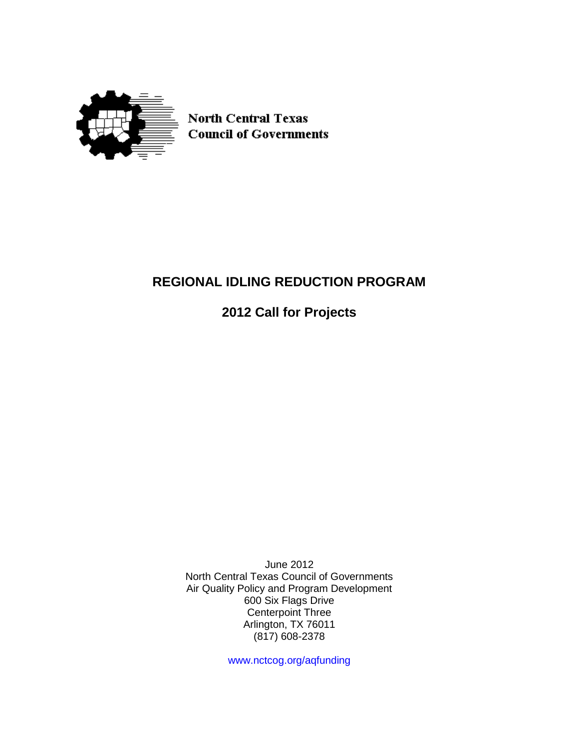

**North Central Texas Council of Governments** 

# **REGIONAL IDLING REDUCTION PROGRAM**

**2012 Call for Projects**

<span id="page-0-0"></span>June 2012 North Central Texas Council of Governments Air Quality Policy and Program Development 600 Six Flags Drive Centerpoint Three Arlington, TX 76011 (817) 608-2378

www.nctcog.org/aqfunding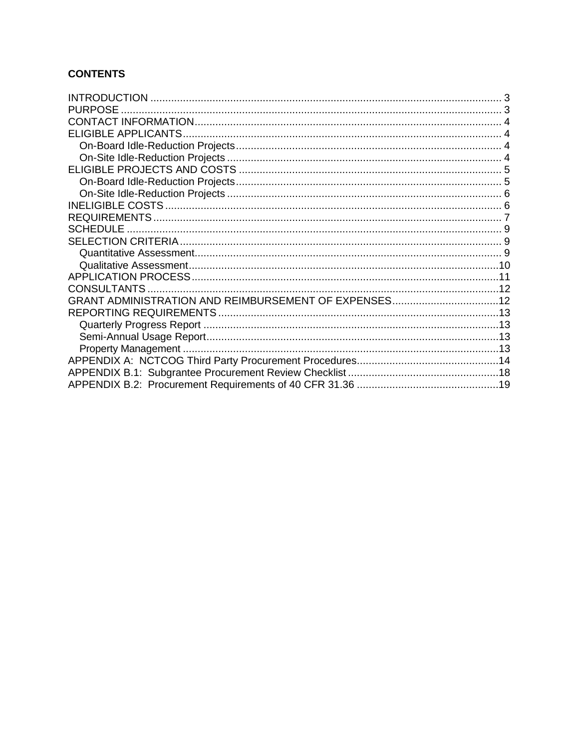## **CONTENTS**

| <b>PURPOSE</b>  |  |
|-----------------|--|
|                 |  |
|                 |  |
|                 |  |
|                 |  |
|                 |  |
|                 |  |
|                 |  |
|                 |  |
|                 |  |
| <b>SCHEDULE</b> |  |
|                 |  |
|                 |  |
|                 |  |
|                 |  |
|                 |  |
|                 |  |
|                 |  |
|                 |  |
|                 |  |
|                 |  |
|                 |  |
|                 |  |
|                 |  |
|                 |  |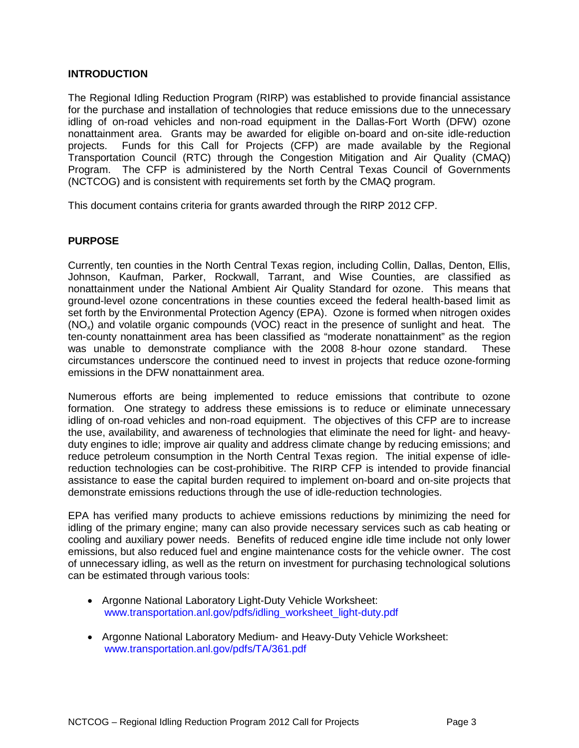## <span id="page-2-0"></span>**INTRODUCTION**

The Regional Idling Reduction Program (RIRP) was established to provide financial assistance for the purchase and installation of technologies that reduce emissions due to the unnecessary idling of on-road vehicles and non-road equipment in the Dallas-Fort Worth (DFW) ozone nonattainment area. Grants may be awarded for eligible on-board and on-site idle-reduction projects. Funds for this Call for Projects (CFP) are made available by the Regional Transportation Council (RTC) through the Congestion Mitigation and Air Quality (CMAQ) Program. The CFP is administered by the North Central Texas Council of Governments (NCTCOG) and is consistent with requirements set forth by the CMAQ program.

This document contains criteria for grants awarded through the RIRP 2012 CFP.

## <span id="page-2-1"></span>**PURPOSE**

Currently, ten counties in the North Central Texas region, including Collin, Dallas, Denton, Ellis, Johnson, Kaufman, Parker, Rockwall, Tarrant, and Wise Counties, are classified as nonattainment under the National Ambient Air Quality Standard for ozone. This means that ground-level ozone concentrations in these counties exceed the federal health-based limit as set forth by the Environmental Protection Agency (EPA). Ozone is formed when nitrogen oxides  $(NO<sub>x</sub>)$  and volatile organic compounds (VOC) react in the presence of sunlight and heat. The ten-county nonattainment area has been classified as "moderate nonattainment" as the region was unable to demonstrate compliance with the 2008 8-hour ozone standard. These circumstances underscore the continued need to invest in projects that reduce ozone-forming emissions in the DFW nonattainment area.

Numerous efforts are being implemented to reduce emissions that contribute to ozone formation. One strategy to address these emissions is to reduce or eliminate unnecessary idling of on-road vehicles and non-road equipment. The objectives of this CFP are to increase the use, availability, and awareness of technologies that eliminate the need for light- and heavyduty engines to idle; improve air quality and address climate change by reducing emissions; and reduce petroleum consumption in the North Central Texas region. The initial expense of idlereduction technologies can be cost-prohibitive. The RIRP CFP is intended to provide financial assistance to ease the capital burden required to implement on-board and on-site projects that demonstrate emissions reductions through the use of idle-reduction technologies.

EPA has verified many products to achieve emissions reductions by minimizing the need for idling of the primary engine; many can also provide necessary services such as cab heating or cooling and auxiliary power needs. Benefits of reduced engine idle time include not only lower emissions, but also reduced fuel and engine maintenance costs for the vehicle owner. The cost of unnecessary idling, as well as the return on investment for purchasing technological solutions can be estimated through various tools:

- Argonne National Laboratory Light-Duty Vehicle Worksheet: [www.transportation.anl.gov/pdfs/idling\\_worksheet\\_light-duty.pdf](http://www.transportation.anl.gov/pdfs/idling_worksheet_light-duty.pdf)
- Argonne National Laboratory Medium- and Heavy-Duty Vehicle Worksheet: www.transportation.anl.gov/pdfs/TA/361.pdf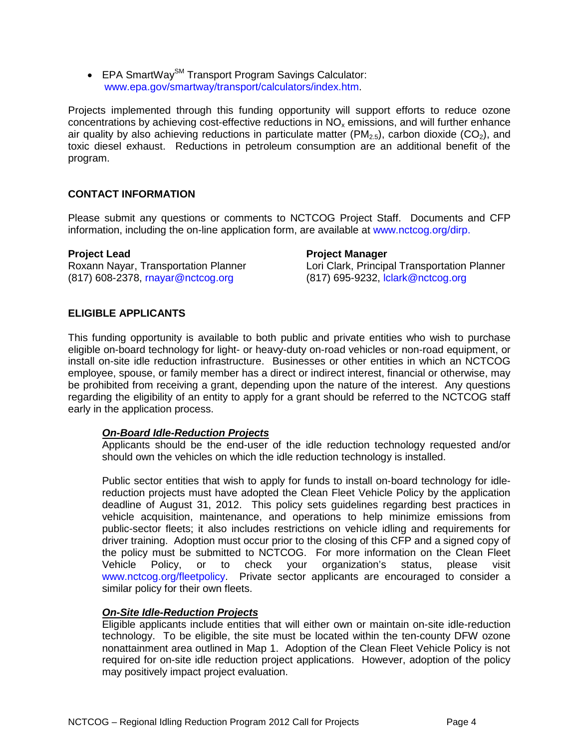• EPA SmartWay<sup>SM</sup> Transport Program Savings Calculator: [www.epa.gov/smartway/transport/calculators/index.htm.](http://www.epa.gov/smartway/transport/calculators/index.htm)

Projects implemented through this funding opportunity will support efforts to reduce ozone concentrations by achieving cost-effective reductions in  $NO<sub>x</sub>$  emissions, and will further enhance air quality by also achieving reductions in particulate matter (PM<sub>2.5</sub>), carbon dioxide (CO<sub>2</sub>), and toxic diesel exhaust. Reductions in petroleum consumption are an additional benefit of the program.

## <span id="page-3-0"></span>**CONTACT INFORMATION**

Please submit any questions or comments to NCTCOG Project Staff. Documents and CFP information, including the on-line application form, are available at www.nctcog.org/dirp.

**Project Lead**<br> **Roxann Nayar, Transportation Planner**<br> **Project Manager**<br> **Project Manager**  $(817)$  608-2378, [rnayar@nctcog.org](mailto:lclark@nctcog.org)

Lori Clark, Principal Transportation Planner<br>(817) 695-9232, Iclark@nctcog.org

## <span id="page-3-1"></span>**ELIGIBLE APPLICANTS**

This funding opportunity is available to both public and private entities who wish to purchase eligible on-board technology for light- or heavy-duty on-road vehicles or non-road equipment, or install on-site idle reduction infrastructure. Businesses or other entities in which an NCTCOG employee, spouse, or family member has a direct or indirect interest, financial or otherwise, may be prohibited from receiving a grant, depending upon the nature of the interest. Any questions regarding the eligibility of an entity to apply for a grant should be referred to the NCTCOG staff early in the application process.

## <span id="page-3-2"></span>*On-Board Idle-Reduction Projects*

Applicants should be the end-user of the idle reduction technology requested and/or should own the vehicles on which the idle reduction technology is installed.

Public sector entities that wish to apply for funds to install on-board technology for idlereduction projects must have adopted the Clean Fleet Vehicle Policy by the application deadline of August 31, 2012. This policy sets guidelines regarding best practices in vehicle acquisition, maintenance, and operations to help minimize emissions from public-sector fleets; it also includes restrictions on vehicle idling and requirements for driver training. Adoption must occur prior to the closing of this CFP and a signed copy of the policy must be submitted to NCTCOG. For more information on the Clean Fleet Vehicle Policy, or to check your organization's status, please visit [www.nctcog.org/fleetpolicy.](http://www.nctcog.org/fleetpolicy) Private sector applicants are encouraged to consider a similar policy for their own fleets.

## <span id="page-3-3"></span>*On-Site Idle-Reduction Projects*

Eligible applicants include entities that will either own or maintain on-site idle-reduction technology. To be eligible, the site must be located within the ten-county DFW ozone nonattainment area outlined in Map 1. Adoption of the Clean Fleet Vehicle Policy is not required for on-site idle reduction project applications. However, adoption of the policy may positively impact project evaluation.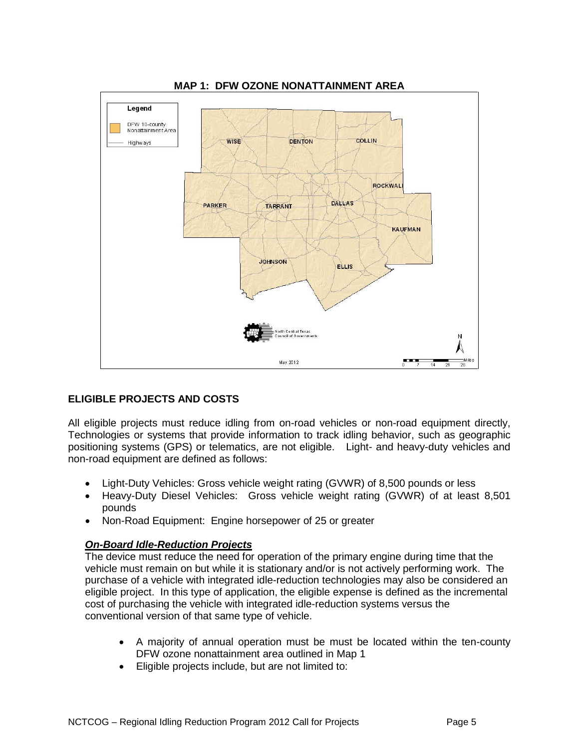

## **MAP 1: DFW OZONE NONATTAINMENT AREA**

## <span id="page-4-0"></span>**ELIGIBLE PROJECTS AND COSTS**

All eligible projects must reduce idling from on-road vehicles or non-road equipment directly, Technologies or systems that provide information to track idling behavior, such as geographic positioning systems (GPS) or telematics, are not eligible. Light- and heavy-duty vehicles and non-road equipment are defined as follows:

- Light-Duty Vehicles: Gross vehicle weight rating (GVWR) of 8,500 pounds or less
- Heavy-Duty Diesel Vehicles: Gross vehicle weight rating (GVWR) of at least 8,501 pounds
- Non-Road Equipment: Engine horsepower of 25 or greater

## <span id="page-4-1"></span>*On-Board Idle-Reduction Projects*

The device must reduce the need for operation of the primary engine during time that the vehicle must remain on but while it is stationary and/or is not actively performing work. The purchase of a vehicle with integrated idle-reduction technologies may also be considered an eligible project. In this type of application, the eligible expense is defined as the incremental cost of purchasing the vehicle with integrated idle-reduction systems versus the conventional version of that same type of vehicle.

- A majority of annual operation must be must be located within the ten-county DFW ozone nonattainment area outlined in Map 1
- Eligible projects include, but are not limited to: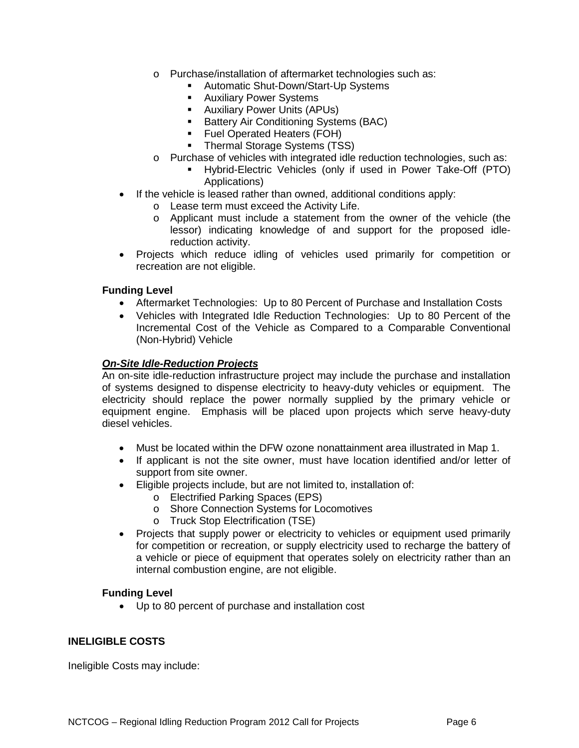- o Purchase/installation of aftermarket technologies such as:
	- **Automatic Shut-Down/Start-Up Systems**
	- **Auxiliary Power Systems**
	- **Auxiliary Power Units (APUs)**
	- **Battery Air Conditioning Systems (BAC)**
	- **Fuel Operated Heaters (FOH)**
	- Thermal Storage Systems (TSS)
- o Purchase of vehicles with integrated idle reduction technologies, such as:
	- Hybrid-Electric Vehicles (only if used in Power Take-Off (PTO) Applications)
- If the vehicle is leased rather than owned, additional conditions apply:
	- o Lease term must exceed the Activity Life.
	- o Applicant must include a statement from the owner of the vehicle (the lessor) indicating knowledge of and support for the proposed idlereduction activity.
- Projects which reduce idling of vehicles used primarily for competition or recreation are not eligible.

## **Funding Level**

- Aftermarket Technologies: Up to 80 Percent of Purchase and Installation Costs
- Vehicles with Integrated Idle Reduction Technologies: Up to 80 Percent of the Incremental Cost of the Vehicle as Compared to a Comparable Conventional (Non-Hybrid) Vehicle

## <span id="page-5-0"></span>*On-Site Idle-Reduction Projects*

An on-site idle-reduction infrastructure project may include the purchase and installation of systems designed to dispense electricity to heavy-duty vehicles or equipment. The electricity should replace the power normally supplied by the primary vehicle or equipment engine. Emphasis will be placed upon projects which serve heavy-duty diesel vehicles.

- Must be located within the DFW ozone nonattainment area illustrated in Map 1.
- If applicant is not the site owner, must have location identified and/or letter of support from site owner.
- Eligible projects include, but are not limited to, installation of:
	- o Electrified Parking Spaces (EPS)
	- o Shore Connection Systems for Locomotives
	- o Truck Stop Electrification (TSE)
- Projects that supply power or electricity to vehicles or equipment used primarily for competition or recreation, or supply electricity used to recharge the battery of a vehicle or piece of equipment that operates solely on electricity rather than an internal combustion engine, are not eligible.

## **Funding Level**

• Up to 80 percent of purchase and installation cost

## <span id="page-5-1"></span>**INELIGIBLE COSTS**

Ineligible Costs may include: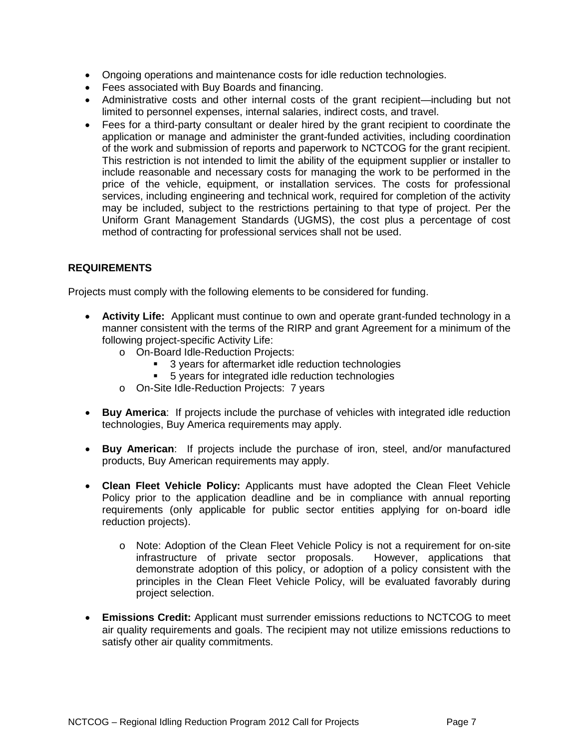- Ongoing operations and maintenance costs for idle reduction technologies.
- Fees associated with Buy Boards and financing.
- Administrative costs and other internal costs of the grant recipient—including but not limited to personnel expenses, internal salaries, indirect costs, and travel.
- Fees for a third-party consultant or dealer hired by the grant recipient to coordinate the application or manage and administer the grant-funded activities, including coordination of the work and submission of reports and paperwork to NCTCOG for the grant recipient. This restriction is not intended to limit the ability of the equipment supplier or installer to include reasonable and necessary costs for managing the work to be performed in the price of the vehicle, equipment, or installation services. The costs for professional services, including engineering and technical work, required for completion of the activity may be included, subject to the restrictions pertaining to that type of project. Per the Uniform Grant Management Standards (UGMS), the cost plus a percentage of cost method of contracting for professional services shall not be used.

## <span id="page-6-0"></span>**REQUIREMENTS**

Projects must comply with the following elements to be considered for funding.

- **Activity Life:** Applicant must continue to own and operate grant-funded technology in a manner consistent with the terms of the RIRP and grant Agreement for a minimum of the following project-specific Activity Life:
	- o On-Board Idle-Reduction Projects:
		- 3 years for aftermarket idle reduction technologies
		- 5 years for integrated idle reduction technologies
	- o On-Site Idle-Reduction Projects: 7 years
- **Buy America**: If projects include the purchase of vehicles with integrated idle reduction technologies, Buy America requirements may apply.
- **Buy American**: If projects include the purchase of iron, steel, and/or manufactured products, Buy American requirements may apply.
- **Clean Fleet Vehicle Policy:** Applicants must have adopted the Clean Fleet Vehicle Policy prior to the application deadline and be in compliance with annual reporting requirements (only applicable for public sector entities applying for on-board idle reduction projects).
	- o Note: Adoption of the Clean Fleet Vehicle Policy is not a requirement for on-site infrastructure of private sector proposals. However, applications that demonstrate adoption of this policy, or adoption of a policy consistent with the principles in the Clean Fleet Vehicle Policy, will be evaluated favorably during project selection.
- **Emissions Credit:** Applicant must surrender emissions reductions to NCTCOG to meet air quality requirements and goals. The recipient may not utilize emissions reductions to satisfy other air quality commitments.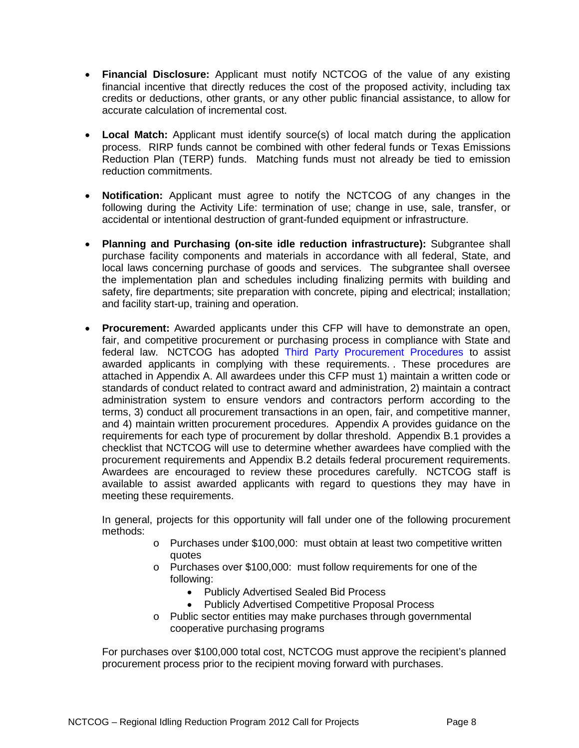- **Financial Disclosure:** Applicant must notify NCTCOG of the value of any existing financial incentive that directly reduces the cost of the proposed activity, including tax credits or deductions, other grants, or any other public financial assistance, to allow for accurate calculation of incremental cost.
- **Local Match:** Applicant must identify source(s) of local match during the application process. RIRP funds cannot be combined with other federal funds or Texas Emissions Reduction Plan (TERP) funds. Matching funds must not already be tied to emission reduction commitments.
- **Notification:** Applicant must agree to notify the NCTCOG of any changes in the following during the Activity Life: termination of use; change in use, sale, transfer, or accidental or intentional destruction of grant-funded equipment or infrastructure.
- **Planning and Purchasing (on-site idle reduction infrastructure):** Subgrantee shall purchase facility components and materials in accordance with all federal, State, and local laws concerning purchase of goods and services. The subgrantee shall oversee the implementation plan and schedules including finalizing permits with building and safety, fire departments; site preparation with concrete, piping and electrical; installation; and facility start-up, training and operation.
- **Procurement:** Awarded applicants under this CFP will have to demonstrate an open, fair, and competitive procurement or purchasing process in compliance with State and federal law. NCTCOG has adopted [Third Party Procurement Procedures](http://www.nctcog.org/trans/air/vehicles/investments/funding/Addendum1-SubgranteeProcurementProcedures-070511.pdf) to assist awarded applicants in complying with these requirements. . These procedures are attached in Appendix A. All awardees under this CFP must 1) maintain a written code or standards of conduct related to contract award and administration, 2) maintain a contract administration system to ensure vendors and contractors perform according to the terms, 3) conduct all procurement transactions in an open, fair, and competitive manner, and 4) maintain written procurement procedures. Appendix A provides guidance on the requirements for each type of procurement by dollar threshold. Appendix B.1 provides a checklist that NCTCOG will use to determine whether awardees have complied with the procurement requirements and Appendix B.2 details federal procurement requirements. Awardees are encouraged to review these procedures carefully. NCTCOG staff is available to assist awarded applicants with regard to questions they may have in meeting these requirements.

In general, projects for this opportunity will fall under one of the following procurement methods:

- o Purchases under \$100,000: must obtain at least two competitive written quotes
- o Purchases over \$100,000: must follow requirements for one of the following:
	- Publicly Advertised Sealed Bid Process
	- Publicly Advertised Competitive Proposal Process
- o Public sector entities may make purchases through governmental cooperative purchasing programs

For purchases over \$100,000 total cost, NCTCOG must approve the recipient's planned procurement process prior to the recipient moving forward with purchases.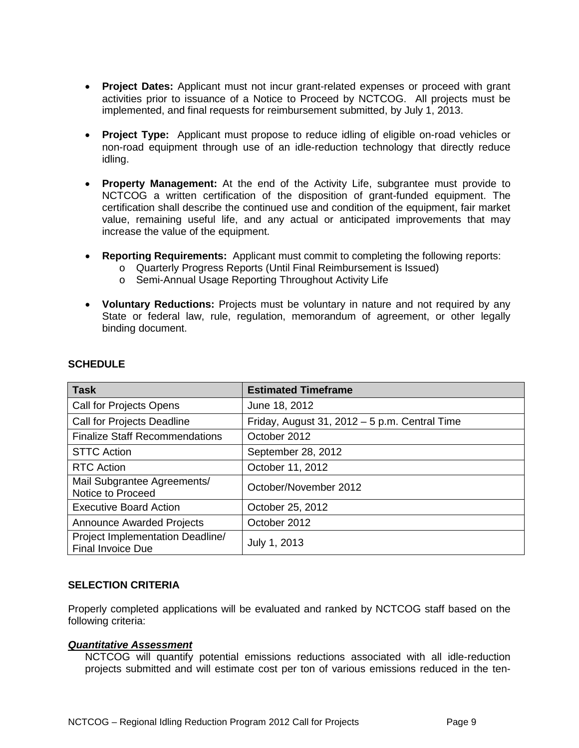- **Project Dates:** Applicant must not incur grant-related expenses or proceed with grant activities prior to issuance of a Notice to Proceed by NCTCOG. All projects must be implemented, and final requests for reimbursement submitted, by July 1, 2013.
- **Project Type:** Applicant must propose to reduce idling of eligible on-road vehicles or non-road equipment through use of an idle-reduction technology that directly reduce idling.
- **Property Management:** At the end of the Activity Life, subgrantee must provide to NCTCOG a written certification of the disposition of grant-funded equipment. The certification shall describe the continued use and condition of the equipment, fair market value, remaining useful life, and any actual or anticipated improvements that may increase the value of the equipment.
- **Reporting Requirements:** Applicant must commit to completing the following reports:
	- o Quarterly Progress Reports (Until Final Reimbursement is Issued)
	- o Semi-Annual Usage Reporting Throughout Activity Life
- **Voluntary Reductions:** Projects must be voluntary in nature and not required by any State or federal law, rule, regulation, memorandum of agreement, or other legally binding document.

| <b>Task</b>                                                  | <b>Estimated Timeframe</b>                    |
|--------------------------------------------------------------|-----------------------------------------------|
| Call for Projects Opens                                      | June 18, 2012                                 |
| Call for Projects Deadline                                   | Friday, August 31, 2012 - 5 p.m. Central Time |
| <b>Finalize Staff Recommendations</b>                        | October 2012                                  |
| <b>STTC Action</b>                                           | September 28, 2012                            |
| <b>RTC Action</b>                                            | October 11, 2012                              |
| Mail Subgrantee Agreements/<br>Notice to Proceed             | October/November 2012                         |
| <b>Executive Board Action</b>                                | October 25, 2012                              |
| <b>Announce Awarded Projects</b>                             | October 2012                                  |
| Project Implementation Deadline/<br><b>Final Invoice Due</b> | July 1, 2013                                  |

## <span id="page-8-0"></span>**SCHEDULE**

## <span id="page-8-1"></span>**SELECTION CRITERIA**

Properly completed applications will be evaluated and ranked by NCTCOG staff based on the following criteria:

## <span id="page-8-2"></span>*Quantitative Assessment*

NCTCOG will quantify potential emissions reductions associated with all idle-reduction projects submitted and will estimate cost per ton of various emissions reduced in the ten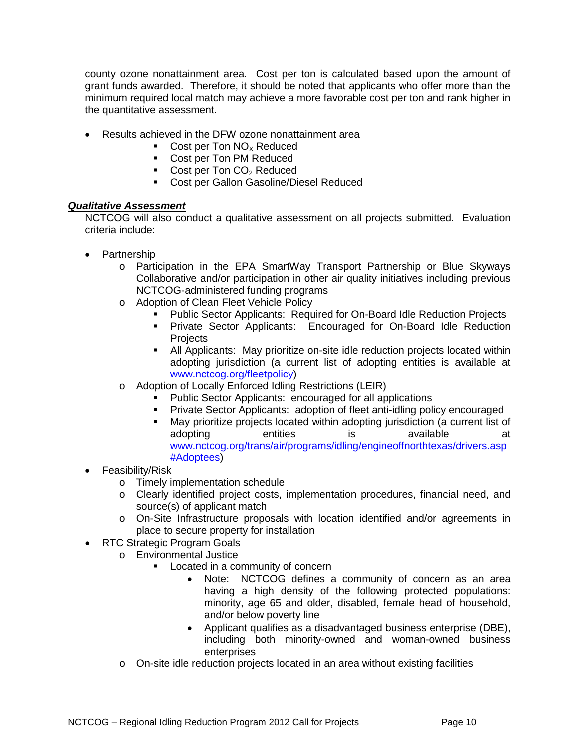county ozone nonattainment area. Cost per ton is calculated based upon the amount of grant funds awarded. Therefore, it should be noted that applicants who offer more than the minimum required local match may achieve a more favorable cost per ton and rank higher in the quantitative assessment.

- Results achieved in the DFW ozone nonattainment area
	- Cost per Ton  $NO<sub>x</sub>$  Reduced
	- Cost per Ton PM Reduced
	- Cost per Ton  $CO<sub>2</sub>$  Reduced
	- Cost per Gallon Gasoline/Diesel Reduced

## <span id="page-9-0"></span>*Qualitative Assessment*

NCTCOG will also conduct a qualitative assessment on all projects submitted. Evaluation criteria include:

- Partnership
	- o Participation in the EPA SmartWay Transport Partnership or Blue Skyways Collaborative and/or participation in other air quality initiatives including previous NCTCOG-administered funding programs
	- o Adoption of Clean Fleet Vehicle Policy
		- Public Sector Applicants: Required for On-Board Idle Reduction Projects
		- Private Sector Applicants: Encouraged for On-Board Idle Reduction **Projects**
		- All Applicants: May prioritize on-site idle reduction projects located within adopting jurisdiction (a current list of adopting entities is available at [www.nctcog.org/fleetpolicy\)](http://www.nctcog.org/fleetpolicy)
	- o Adoption of Locally Enforced Idling Restrictions (LEIR)
		- Public Sector Applicants: encouraged for all applications
		- Private Sector Applicants: adoption of fleet anti-idling policy encouraged
		- May prioritize projects located within adopting jurisdiction (a current list of adopting entities is available at [www.nctcog.org/trans/air/programs/idling/engineoffnorthtexas/drivers.asp](http://www.nctcog.org/trans/air/programs/idling/engineoffnorthtexas/drivers.asp#Adoptees) [#Adoptees\)](http://www.nctcog.org/trans/air/programs/idling/engineoffnorthtexas/drivers.asp#Adoptees)
- Feasibility/Risk
	- o Timely implementation schedule
	- o Clearly identified project costs, implementation procedures, financial need, and source(s) of applicant match
	- o On-Site Infrastructure proposals with location identified and/or agreements in place to secure property for installation
- RTC Strategic Program Goals
	- o Environmental Justice
		- Located in a community of concern
			- Note: NCTCOG defines a community of concern as an area having a high density of the following protected populations: minority, age 65 and older, disabled, female head of household, and/or below poverty line
			- Applicant qualifies as a disadvantaged business enterprise (DBE), including both minority-owned and woman-owned business enterprises
		- $\circ$  On-site idle reduction projects located in an area without existing facilities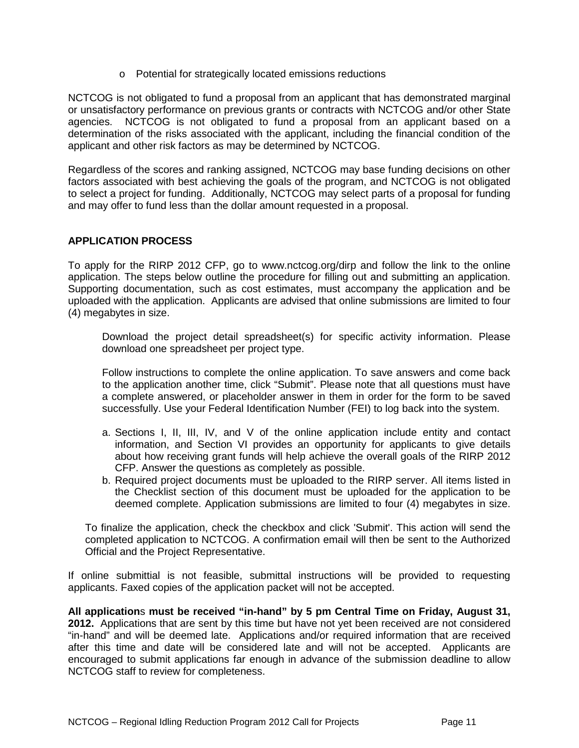o Potential for strategically located emissions reductions

NCTCOG is not obligated to fund a proposal from an applicant that has demonstrated marginal or unsatisfactory performance on previous grants or contracts with NCTCOG and/or other State agencies. NCTCOG is not obligated to fund a proposal from an applicant based on a determination of the risks associated with the applicant, including the financial condition of the applicant and other risk factors as may be determined by NCTCOG.

Regardless of the scores and ranking assigned, NCTCOG may base funding decisions on other factors associated with best achieving the goals of the program, and NCTCOG is not obligated to select a project for funding. Additionally, NCTCOG may select parts of a proposal for funding and may offer to fund less than the dollar amount requested in a proposal.

## <span id="page-10-0"></span>**APPLICATION PROCESS**

To apply for the RIRP 2012 CFP, go to www.nctcog.org/dirp and follow the link to the online application. The steps below outline the procedure for filling out and submitting an application. Supporting documentation, such as cost estimates, must accompany the application and be uploaded with the application. Applicants are advised that online submissions are limited to four (4) megabytes in size.

Download the project detail spreadsheet(s) for specific activity information. Please download one spreadsheet per project type.

Follow instructions to complete the online application. To save answers and come back to the application another time, click "Submit". Please note that all questions must have a complete answered, or placeholder answer in them in order for the form to be saved successfully. Use your Federal Identification Number (FEI) to log back into the system.

- a. Sections I, II, III, IV, and V of the online application include entity and contact information, and Section VI provides an opportunity for applicants to give details about how receiving grant funds will help achieve the overall goals of the RIRP 2012 CFP. Answer the questions as completely as possible.
- b. Required project documents must be uploaded to the RIRP server. All items listed in the Checklist section of this document must be uploaded for the application to be deemed complete. Application submissions are limited to four (4) megabytes in size.

To finalize the application, check the checkbox and click 'Submit'. This action will send the completed application to NCTCOG. A confirmation email will then be sent to the Authorized Official and the Project Representative.

If online submittial is not feasible, submittal instructions will be provided to requesting applicants. Faxed copies of the application packet will not be accepted.

**All [application](http://www.nctcog.org/trans/clean/schoolbus/index.asp?)**s **must be received "in-hand" by 5 pm Central Time on Friday, August 31, 2012.** Applications that are sent by this time but have not yet been received are not considered "in-hand" and will be deemed late. Applications and/or required information that are received after this time and date will be considered late and will not be accepted. Applicants are encouraged to submit applications far enough in advance of the submission deadline to allow NCTCOG staff to review for completeness.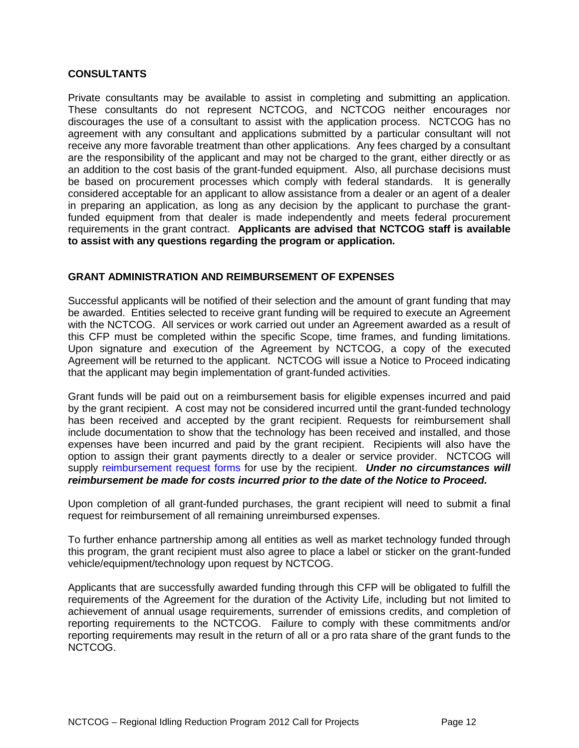## <span id="page-11-0"></span>**CONSULTANTS**

Private consultants may be available to assist in completing and submitting an application. These consultants do not represent NCTCOG, and NCTCOG neither encourages nor discourages the use of a consultant to assist with the application process. NCTCOG has no agreement with any consultant and applications submitted by a particular consultant will not receive any more favorable treatment than other applications. Any fees charged by a consultant are the responsibility of the applicant and may not be charged to the grant, either directly or as an addition to the cost basis of the grant-funded equipment. Also, all purchase decisions must be based on procurement processes which comply with federal standards. It is generally considered acceptable for an applicant to allow assistance from a dealer or an agent of a dealer in preparing an application, as long as any decision by the applicant to purchase the grantfunded equipment from that dealer is made independently and meets federal procurement requirements in the grant contract. **Applicants are advised that NCTCOG staff is available to assist with any questions regarding the program or application.**

## <span id="page-11-1"></span>**GRANT ADMINISTRATION AND REIMBURSEMENT OF EXPENSES**

Successful applicants will be notified of their selection and the amount of grant funding that may be awarded. Entities selected to receive grant funding will be required to execute an Agreement with the NCTCOG. All services or work carried out under an Agreement awarded as a result of this CFP must be completed within the specific Scope, time frames, and funding limitations. Upon signature and execution of the Agreement by NCTCOG, a copy of the executed Agreement will be returned to the applicant. NCTCOG will issue a Notice to Proceed indicating that the applicant may begin implementation of grant-funded activities.

Grant funds will be paid out on a reimbursement basis for eligible expenses incurred and paid by the grant recipient. A cost may not be considered incurred until the grant-funded technology has been received and accepted by the grant recipient. Requests for reimbursement shall include documentation to show that the technology has been received and installed, and those expenses have been incurred and paid by the grant recipient. Recipients will also have the option to assign their grant payments directly to a dealer or service provider. NCTCOG will supply [reimbursement request](http://www.nctcog.org/trans/air/vehicles/investments/funding/Forms.asp) forms for use by the recipient. *Under no circumstances will reimbursement be made for costs incurred prior to the date of the Notice to Proceed.*

Upon completion of all grant-funded purchases, the grant recipient will need to submit a final request for reimbursement of all remaining unreimbursed expenses.

To further enhance partnership among all entities as well as market technology funded through this program, the grant recipient must also agree to place a label or sticker on the grant-funded vehicle/equipment/technology upon request by NCTCOG.

Applicants that are successfully awarded funding through this CFP will be obligated to fulfill the requirements of the Agreement for the duration of the Activity Life, including but not limited to achievement of annual usage requirements, surrender of emissions credits, and completion of reporting requirements to the NCTCOG. Failure to comply with these commitments and/or reporting requirements may result in the return of all or a pro rata share of the grant funds to the NCTCOG.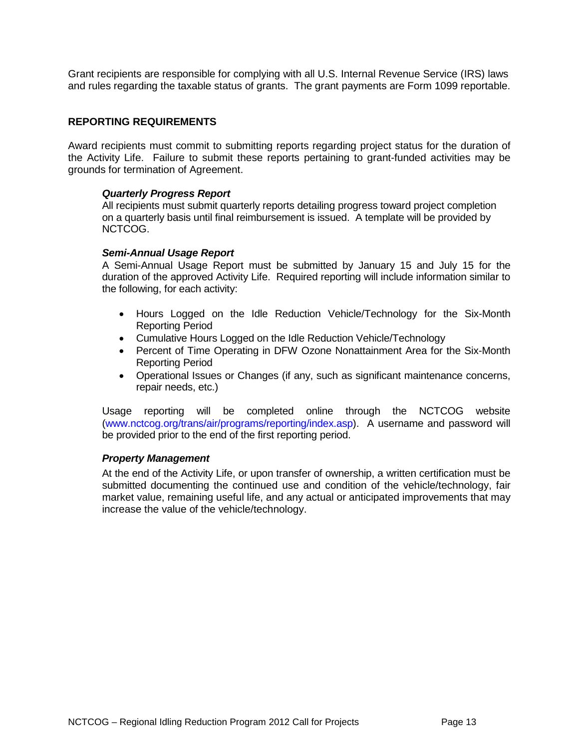Grant recipients are responsible for complying with all U.S. Internal Revenue Service (IRS) laws and rules regarding the taxable status of grants. The grant payments are Form 1099 reportable.

## <span id="page-12-0"></span>**REPORTING REQUIREMENTS**

Award recipients must commit to submitting reports regarding project status for the duration of the Activity Life. Failure to submit these reports pertaining to grant-funded activities may be grounds for termination of Agreement.

## <span id="page-12-1"></span>*Quarterly Progress Report*

All recipients must submit quarterly reports detailing progress toward project completion on a quarterly basis until final reimbursement is issued. A template will be provided by NCTCOG.

## <span id="page-12-2"></span>*Semi-Annual Usage Report*

A Semi-Annual Usage Report must be submitted by January 15 and July 15 for the duration of the approved Activity Life. Required reporting will include information similar to the following, for each activity:

- Hours Logged on the Idle Reduction Vehicle/Technology for the Six-Month Reporting Period
- Cumulative Hours Logged on the Idle Reduction Vehicle/Technology
- Percent of Time Operating in DFW Ozone Nonattainment Area for the Six-Month Reporting Period
- Operational Issues or Changes (if any, such as significant maintenance concerns, repair needs, etc.)

Usage reporting will be completed online through the NCTCOG website [\(www.nctcog.org/trans/air/programs/reporting/index.asp\)](http://www.nctcog.org/trans/air/programs/reporting/index.asp). A username and password will be provided prior to the end of the first reporting period.

## <span id="page-12-3"></span>*Property Management*

At the end of the Activity Life, or upon transfer of ownership, a written certification must be submitted documenting the continued use and condition of the vehicle/technology, fair market value, remaining useful life, and any actual or anticipated improvements that may increase the value of the vehicle/technology.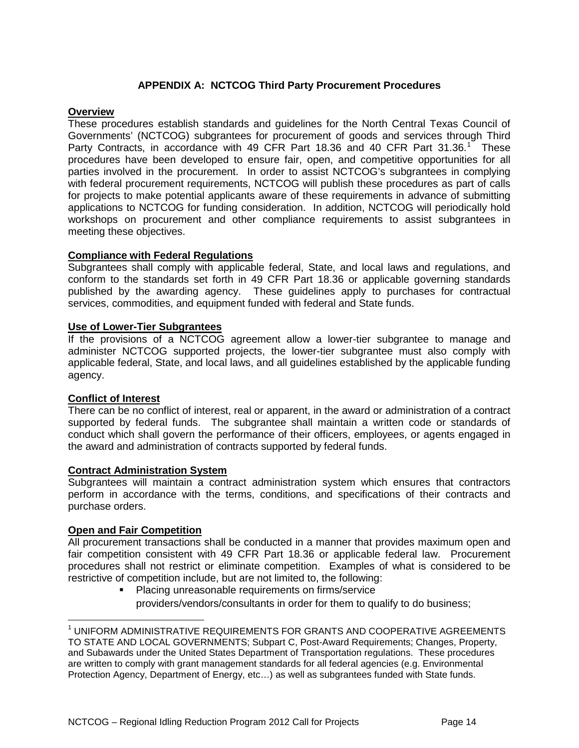## **APPENDIX A: NCTCOG Third Party Procurement Procedures**

## <span id="page-13-0"></span>**Overview**

These procedures establish standards and guidelines for the North Central Texas Council of Governments' (NCTCOG) subgrantees for procurement of goods and services through Third Party Contracts, in accordance with 49 CFR Part [1](#page-0-0)8.36 and 40 CFR Part  $31.36$ .<sup>1</sup> These procedures have been developed to ensure fair, open, and competitive opportunities for all parties involved in the procurement. In order to assist NCTCOG's subgrantees in complying with federal procurement requirements, NCTCOG will publish these procedures as part of calls for projects to make potential applicants aware of these requirements in advance of submitting applications to NCTCOG for funding consideration. In addition, NCTCOG will periodically hold workshops on procurement and other compliance requirements to assist subgrantees in meeting these objectives.

## **Compliance with Federal Regulations**

Subgrantees shall comply with applicable federal, State, and local laws and regulations, and conform to the standards set forth in 49 CFR Part 18.36 or applicable governing standards published by the awarding agency. These guidelines apply to purchases for contractual services, commodities, and equipment funded with federal and State funds.

## **Use of Lower-Tier Subgrantees**

If the provisions of a NCTCOG agreement allow a lower-tier subgrantee to manage and administer NCTCOG supported projects, the lower-tier subgrantee must also comply with applicable federal, State, and local laws, and all guidelines established by the applicable funding agency.

## **Conflict of Interest**

There can be no conflict of interest, real or apparent, in the award or administration of a contract supported by federal funds. The subgrantee shall maintain a written code or standards of conduct which shall govern the performance of their officers, employees, or agents engaged in the award and administration of contracts supported by federal funds.

## **Contract Administration System**

Subgrantees will maintain a contract administration system which ensures that contractors perform in accordance with the terms, conditions, and specifications of their contracts and purchase orders.

## **Open and Fair Competition**

All procurement transactions shall be conducted in a manner that provides maximum open and fair competition consistent with 49 CFR Part 18.36 or applicable federal law. Procurement procedures shall not restrict or eliminate competition. Examples of what is considered to be restrictive of competition include, but are not limited to, the following:

- **Placing unreasonable requirements on firms/service** 
	- providers/vendors/consultants in order for them to qualify to do business;

<span id="page-13-1"></span><sup>1</sup> UNIFORM ADMINISTRATIVE REQUIREMENTS FOR GRANTS AND COOPERATIVE AGREEMENTS TO STATE AND LOCAL GOVERNMENTS; Subpart C, Post-Award Requirements; Changes, Property, and Subawards under the United States Department of Transportation regulations. These procedures are written to comply with grant management standards for all federal agencies (e.g. Environmental Protection Agency, Department of Energy, etc…) as well as subgrantees funded with State funds.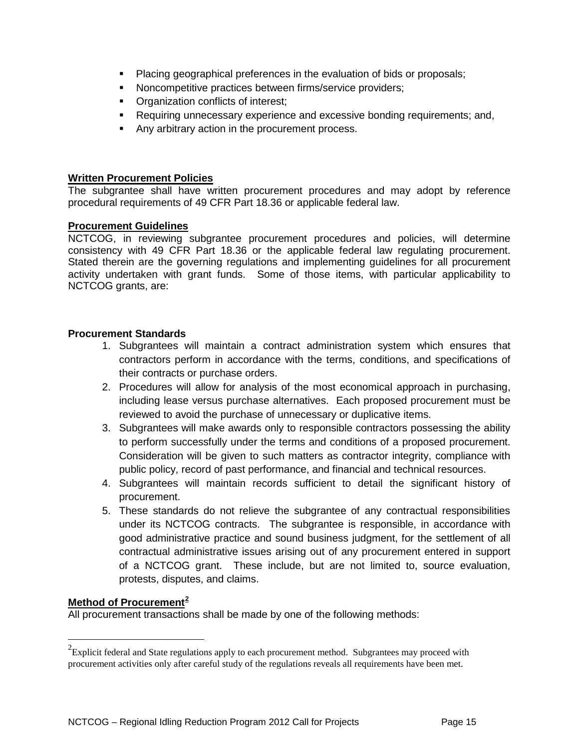- Placing geographical preferences in the evaluation of bids or proposals;
- **Noncompetitive practices between firms/service providers;**
- **•** Organization conflicts of interest;
- Requiring unnecessary experience and excessive bonding requirements; and,
- **Any arbitrary action in the procurement process.**

## **Written Procurement Policies**

The subgrantee shall have written procurement procedures and may adopt by reference procedural requirements of 49 CFR Part 18.36 or applicable federal law.

## **Procurement Guidelines**

NCTCOG, in reviewing subgrantee procurement procedures and policies, will determine consistency with 49 CFR Part 18.36 or the applicable federal law regulating procurement. Stated therein are the governing regulations and implementing guidelines for all procurement activity undertaken with grant funds. Some of those items, with particular applicability to NCTCOG grants, are:

## **Procurement Standards**

- 1. Subgrantees will maintain a contract administration system which ensures that contractors perform in accordance with the terms, conditions, and specifications of their contracts or purchase orders.
- 2. Procedures will allow for analysis of the most economical approach in purchasing, including lease versus purchase alternatives. Each proposed procurement must be reviewed to avoid the purchase of unnecessary or duplicative items.
- 3. Subgrantees will make awards only to responsible contractors possessing the ability to perform successfully under the terms and conditions of a proposed procurement. Consideration will be given to such matters as contractor integrity, compliance with public policy, record of past performance, and financial and technical resources.
- 4. Subgrantees will maintain records sufficient to detail the significant history of procurement.
- 5. These standards do not relieve the subgrantee of any contractual responsibilities under its NCTCOG contracts. The subgrantee is responsible, in accordance with good administrative practice and sound business judgment, for the settlement of all contractual administrative issues arising out of any procurement entered in support of a NCTCOG grant. These include, but are not limited to, source evaluation, protests, disputes, and claims.

## **Method of Procurement[2](#page-13-1)**

All procurement transactions shall be made by one of the following methods:

<span id="page-14-0"></span><sup>&</sup>lt;sup>2</sup><br>Explicit federal and State regulations apply to each procurement method. Subgrantees may proceed with procurement activities only after careful study of the regulations reveals all requirements have been met.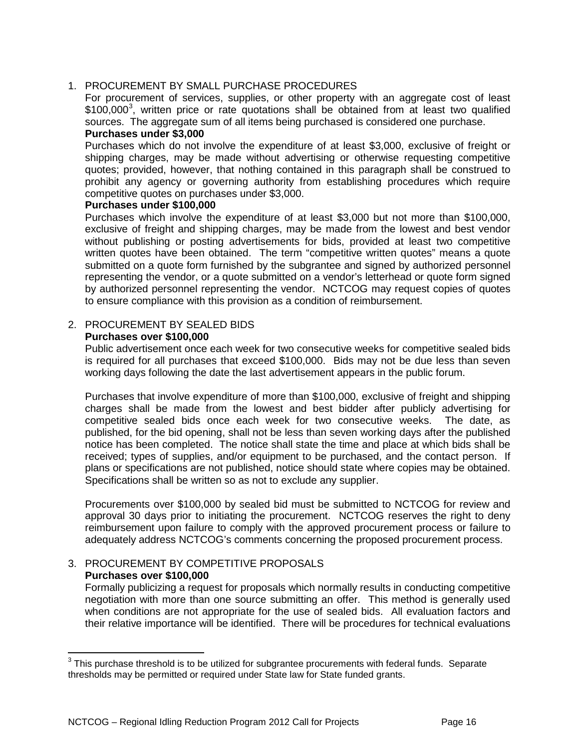## 1. PROCUREMENT BY SMALL PURCHASE PROCEDURES

For procurement of services, supplies, or other property with an aggregate cost of least \$100,000<sup>[3](#page-14-0)</sup>, written price or rate quotations shall be obtained from at least two qualified sources. The aggregate sum of all items being purchased is considered one purchase.

## **Purchases under \$3,000**

Purchases which do not involve the expenditure of at least \$3,000, exclusive of freight or shipping charges, may be made without advertising or otherwise requesting competitive quotes; provided, however, that nothing contained in this paragraph shall be construed to prohibit any agency or governing authority from establishing procedures which require competitive quotes on purchases under \$3,000.

#### **Purchases under \$100,000**

Purchases which involve the expenditure of at least \$3,000 but not more than \$100,000, exclusive of freight and shipping charges, may be made from the lowest and best vendor without publishing or posting advertisements for bids, provided at least two competitive written quotes have been obtained. The term "competitive written quotes" means a quote submitted on a quote form furnished by the subgrantee and signed by authorized personnel representing the vendor, or a quote submitted on a vendor's letterhead or quote form signed by authorized personnel representing the vendor. NCTCOG may request copies of quotes to ensure compliance with this provision as a condition of reimbursement.

## 2. PROCUREMENT BY SEALED BIDS **Purchases over \$100,000**

Public advertisement once each week for two consecutive weeks for competitive sealed bids is required for all purchases that exceed \$100,000. Bids may not be due less than seven working days following the date the last advertisement appears in the public forum.

Purchases that involve expenditure of more than \$100,000, exclusive of freight and shipping charges shall be made from the lowest and best bidder after publicly advertising for competitive sealed bids once each week for two consecutive weeks. The date, as published, for the bid opening, shall not be less than seven working days after the published notice has been completed. The notice shall state the time and place at which bids shall be received; types of supplies, and/or equipment to be purchased, and the contact person. If plans or specifications are not published, notice should state where copies may be obtained. Specifications shall be written so as not to exclude any supplier.

Procurements over \$100,000 by sealed bid must be submitted to NCTCOG for review and approval 30 days prior to initiating the procurement. NCTCOG reserves the right to deny reimbursement upon failure to comply with the approved procurement process or failure to adequately address NCTCOG's comments concerning the proposed procurement process.

## 3. PROCUREMENT BY COMPETITIVE PROPOSALS **Purchases over \$100,000**

Formally publicizing a request for proposals which normally results in conducting competitive negotiation with more than one source submitting an offer. This method is generally used when conditions are not appropriate for the use of sealed bids. All evaluation factors and their relative importance will be identified. There will be procedures for technical evaluations

 $3$  This purchase threshold is to be utilized for subgrantee procurements with federal funds. Separate thresholds may be permitted or required under State law for State funded grants.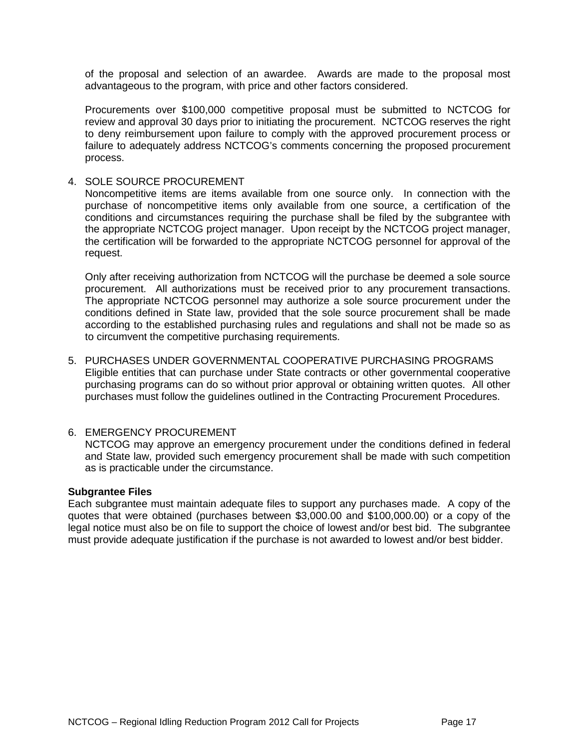of the proposal and selection of an awardee. Awards are made to the proposal most advantageous to the program, with price and other factors considered.

Procurements over \$100,000 competitive proposal must be submitted to NCTCOG for review and approval 30 days prior to initiating the procurement. NCTCOG reserves the right to deny reimbursement upon failure to comply with the approved procurement process or failure to adequately address NCTCOG's comments concerning the proposed procurement process.

## 4. SOLE SOURCE PROCUREMENT

Noncompetitive items are items available from one source only. In connection with the purchase of noncompetitive items only available from one source, a certification of the conditions and circumstances requiring the purchase shall be filed by the subgrantee with the appropriate NCTCOG project manager. Upon receipt by the NCTCOG project manager, the certification will be forwarded to the appropriate NCTCOG personnel for approval of the request.

Only after receiving authorization from NCTCOG will the purchase be deemed a sole source procurement. All authorizations must be received prior to any procurement transactions. The appropriate NCTCOG personnel may authorize a sole source procurement under the conditions defined in State law, provided that the sole source procurement shall be made according to the established purchasing rules and regulations and shall not be made so as to circumvent the competitive purchasing requirements.

5. PURCHASES UNDER GOVERNMENTAL COOPERATIVE PURCHASING PROGRAMS Eligible entities that can purchase under State contracts or other governmental cooperative purchasing programs can do so without prior approval or obtaining written quotes. All other purchases must follow the guidelines outlined in the Contracting Procurement Procedures.

## 6. EMERGENCY PROCUREMENT

NCTCOG may approve an emergency procurement under the conditions defined in federal and State law, provided such emergency procurement shall be made with such competition as is practicable under the circumstance.

## **Subgrantee Files**

Each subgrantee must maintain adequate files to support any purchases made. A copy of the quotes that were obtained (purchases between \$3,000.00 and \$100,000.00) or a copy of the legal notice must also be on file to support the choice of lowest and/or best bid. The subgrantee must provide adequate justification if the purchase is not awarded to lowest and/or best bidder.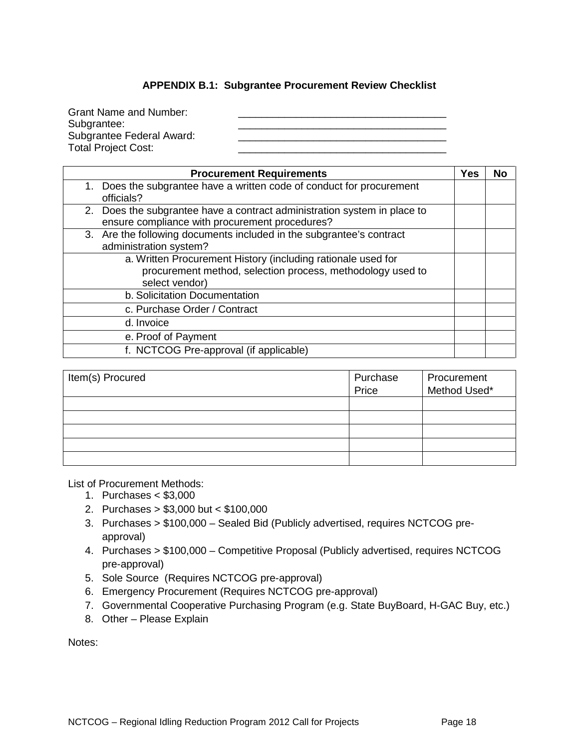## **APPENDIX B.1: Subgrantee Procurement Review Checklist**

<span id="page-17-0"></span>Grant Name and Number: Subgrantee: Subgrantee Federal Award: **Example 2018** Total Project Cost:

| <b>Procurement Requirements</b>                                          |  | <b>No</b> |
|--------------------------------------------------------------------------|--|-----------|
| Does the subgrantee have a written code of conduct for procurement<br>1. |  |           |
| officials?                                                               |  |           |
| 2. Does the subgrantee have a contract administration system in place to |  |           |
| ensure compliance with procurement procedures?                           |  |           |
| 3. Are the following documents included in the subgrantee's contract     |  |           |
| administration system?                                                   |  |           |
| a. Written Procurement History (including rationale used for             |  |           |
| procurement method, selection process, methodology used to               |  |           |
| select vendor)                                                           |  |           |
| b. Solicitation Documentation                                            |  |           |
| c. Purchase Order / Contract                                             |  |           |
| d. Invoice                                                               |  |           |
| e. Proof of Payment                                                      |  |           |
| f. NCTCOG Pre-approval (if applicable)                                   |  |           |

| Item(s) Procured | Purchase | Procurement  |
|------------------|----------|--------------|
|                  | Price    | Method Used* |
|                  |          |              |
|                  |          |              |
|                  |          |              |
|                  |          |              |
|                  |          |              |

List of Procurement Methods:

- 1. Purchases < \$3,000
- 2. Purchases > \$3,000 but < \$100,000
- 3. Purchases > \$100,000 Sealed Bid (Publicly advertised, requires NCTCOG preapproval)
- 4. Purchases > \$100,000 Competitive Proposal (Publicly advertised, requires NCTCOG pre-approval)
- 5. Sole Source (Requires NCTCOG pre-approval)
- 6. Emergency Procurement (Requires NCTCOG pre-approval)
- 7. Governmental Cooperative Purchasing Program (e.g. State BuyBoard, H-GAC Buy, etc.)
- 8. Other Please Explain

Notes: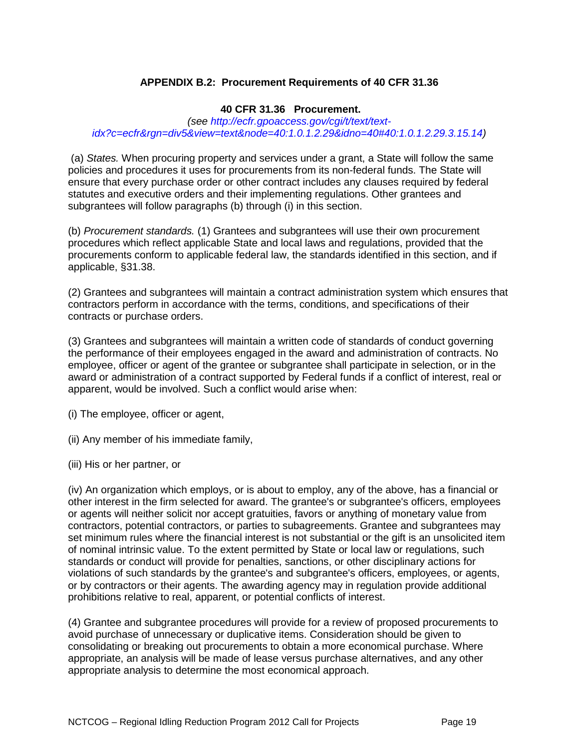## **APPENDIX B.2: Procurement Requirements of 40 CFR 31.36**

## **40 CFR 31.36 Procurement.**

#### <span id="page-18-0"></span>*(see [http://ecfr.gpoaccess.gov/cgi/t/text/text](http://ecfr.gpoaccess.gov/cgi/t/text/text-idx?c=ecfr&rgn=div5&view=text&node=40:1.0.1.2.29&idno=40#40:1.0.1.2.29.3.15.14)[idx?c=ecfr&rgn=div5&view=text&node=40:1.0.1.2.29&idno=40#40:1.0.1.2.29.3.15.14\)](http://ecfr.gpoaccess.gov/cgi/t/text/text-idx?c=ecfr&rgn=div5&view=text&node=40:1.0.1.2.29&idno=40#40:1.0.1.2.29.3.15.14)*

(a) *States.* When procuring property and services under a grant, a State will follow the same policies and procedures it uses for procurements from its non-federal funds. The State will ensure that every purchase order or other contract includes any clauses required by federal statutes and executive orders and their implementing regulations. Other grantees and subgrantees will follow paragraphs (b) through (i) in this section.

(b) *Procurement standards.* (1) Grantees and subgrantees will use their own procurement procedures which reflect applicable State and local laws and regulations, provided that the procurements conform to applicable federal law, the standards identified in this section, and if applicable, §31.38.

(2) Grantees and subgrantees will maintain a contract administration system which ensures that contractors perform in accordance with the terms, conditions, and specifications of their contracts or purchase orders.

(3) Grantees and subgrantees will maintain a written code of standards of conduct governing the performance of their employees engaged in the award and administration of contracts. No employee, officer or agent of the grantee or subgrantee shall participate in selection, or in the award or administration of a contract supported by Federal funds if a conflict of interest, real or apparent, would be involved. Such a conflict would arise when:

(i) The employee, officer or agent,

(ii) Any member of his immediate family,

(iii) His or her partner, or

(iv) An organization which employs, or is about to employ, any of the above, has a financial or other interest in the firm selected for award. The grantee's or subgrantee's officers, employees or agents will neither solicit nor accept gratuities, favors or anything of monetary value from contractors, potential contractors, or parties to subagreements. Grantee and subgrantees may set minimum rules where the financial interest is not substantial or the gift is an unsolicited item of nominal intrinsic value. To the extent permitted by State or local law or regulations, such standards or conduct will provide for penalties, sanctions, or other disciplinary actions for violations of such standards by the grantee's and subgrantee's officers, employees, or agents, or by contractors or their agents. The awarding agency may in regulation provide additional prohibitions relative to real, apparent, or potential conflicts of interest.

(4) Grantee and subgrantee procedures will provide for a review of proposed procurements to avoid purchase of unnecessary or duplicative items. Consideration should be given to consolidating or breaking out procurements to obtain a more economical purchase. Where appropriate, an analysis will be made of lease versus purchase alternatives, and any other appropriate analysis to determine the most economical approach.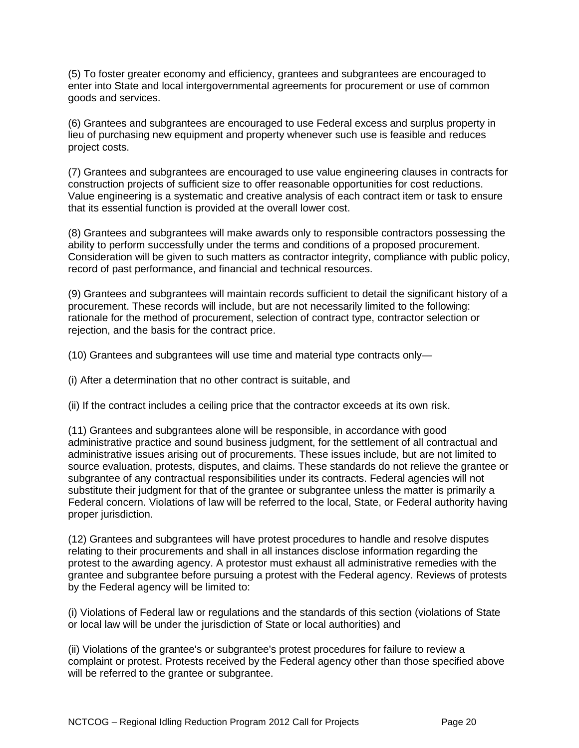(5) To foster greater economy and efficiency, grantees and subgrantees are encouraged to enter into State and local intergovernmental agreements for procurement or use of common goods and services.

(6) Grantees and subgrantees are encouraged to use Federal excess and surplus property in lieu of purchasing new equipment and property whenever such use is feasible and reduces project costs.

(7) Grantees and subgrantees are encouraged to use value engineering clauses in contracts for construction projects of sufficient size to offer reasonable opportunities for cost reductions. Value engineering is a systematic and creative analysis of each contract item or task to ensure that its essential function is provided at the overall lower cost.

(8) Grantees and subgrantees will make awards only to responsible contractors possessing the ability to perform successfully under the terms and conditions of a proposed procurement. Consideration will be given to such matters as contractor integrity, compliance with public policy, record of past performance, and financial and technical resources.

(9) Grantees and subgrantees will maintain records sufficient to detail the significant history of a procurement. These records will include, but are not necessarily limited to the following: rationale for the method of procurement, selection of contract type, contractor selection or rejection, and the basis for the contract price.

(10) Grantees and subgrantees will use time and material type contracts only—

(i) After a determination that no other contract is suitable, and

(ii) If the contract includes a ceiling price that the contractor exceeds at its own risk.

(11) Grantees and subgrantees alone will be responsible, in accordance with good administrative practice and sound business judgment, for the settlement of all contractual and administrative issues arising out of procurements. These issues include, but are not limited to source evaluation, protests, disputes, and claims. These standards do not relieve the grantee or subgrantee of any contractual responsibilities under its contracts. Federal agencies will not substitute their judgment for that of the grantee or subgrantee unless the matter is primarily a Federal concern. Violations of law will be referred to the local, State, or Federal authority having proper jurisdiction.

(12) Grantees and subgrantees will have protest procedures to handle and resolve disputes relating to their procurements and shall in all instances disclose information regarding the protest to the awarding agency. A protestor must exhaust all administrative remedies with the grantee and subgrantee before pursuing a protest with the Federal agency. Reviews of protests by the Federal agency will be limited to:

(i) Violations of Federal law or regulations and the standards of this section (violations of State or local law will be under the jurisdiction of State or local authorities) and

(ii) Violations of the grantee's or subgrantee's protest procedures for failure to review a complaint or protest. Protests received by the Federal agency other than those specified above will be referred to the grantee or subgrantee.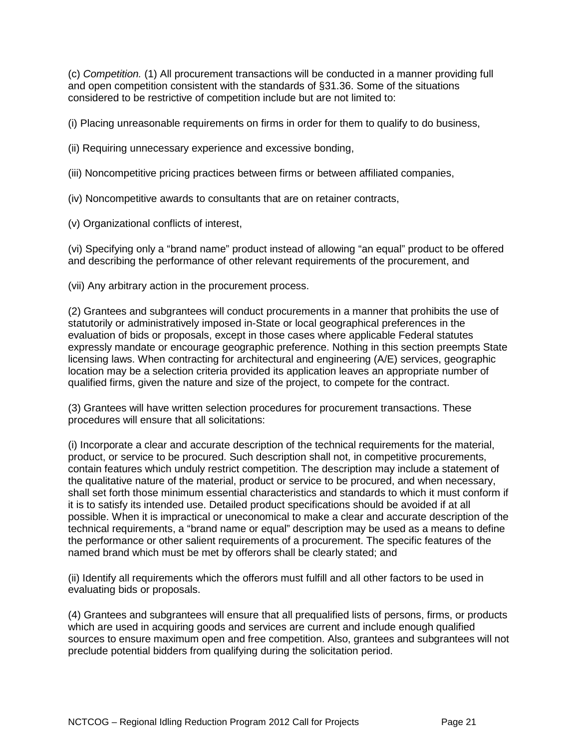(c) *Competition.* (1) All procurement transactions will be conducted in a manner providing full and open competition consistent with the standards of §31.36. Some of the situations considered to be restrictive of competition include but are not limited to:

(i) Placing unreasonable requirements on firms in order for them to qualify to do business,

- (ii) Requiring unnecessary experience and excessive bonding,
- (iii) Noncompetitive pricing practices between firms or between affiliated companies,
- (iv) Noncompetitive awards to consultants that are on retainer contracts,
- (v) Organizational conflicts of interest,

(vi) Specifying only a "brand name" product instead of allowing "an equal" product to be offered and describing the performance of other relevant requirements of the procurement, and

(vii) Any arbitrary action in the procurement process.

(2) Grantees and subgrantees will conduct procurements in a manner that prohibits the use of statutorily or administratively imposed in-State or local geographical preferences in the evaluation of bids or proposals, except in those cases where applicable Federal statutes expressly mandate or encourage geographic preference. Nothing in this section preempts State licensing laws. When contracting for architectural and engineering (A/E) services, geographic location may be a selection criteria provided its application leaves an appropriate number of qualified firms, given the nature and size of the project, to compete for the contract.

(3) Grantees will have written selection procedures for procurement transactions. These procedures will ensure that all solicitations:

(i) Incorporate a clear and accurate description of the technical requirements for the material, product, or service to be procured. Such description shall not, in competitive procurements, contain features which unduly restrict competition. The description may include a statement of the qualitative nature of the material, product or service to be procured, and when necessary, shall set forth those minimum essential characteristics and standards to which it must conform if it is to satisfy its intended use. Detailed product specifications should be avoided if at all possible. When it is impractical or uneconomical to make a clear and accurate description of the technical requirements, a "brand name or equal" description may be used as a means to define the performance or other salient requirements of a procurement. The specific features of the named brand which must be met by offerors shall be clearly stated; and

(ii) Identify all requirements which the offerors must fulfill and all other factors to be used in evaluating bids or proposals.

(4) Grantees and subgrantees will ensure that all prequalified lists of persons, firms, or products which are used in acquiring goods and services are current and include enough qualified sources to ensure maximum open and free competition. Also, grantees and subgrantees will not preclude potential bidders from qualifying during the solicitation period.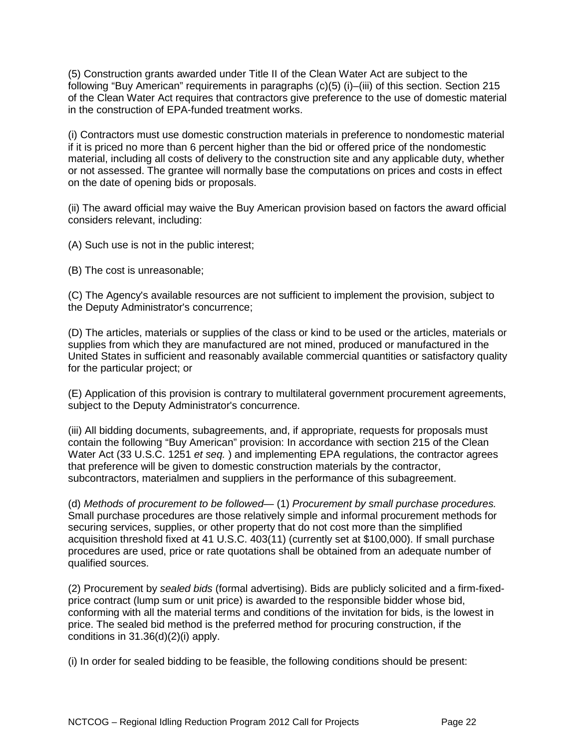(5) Construction grants awarded under Title II of the Clean Water Act are subject to the following "Buy American" requirements in paragraphs (c)(5) (i)–(iii) of this section. Section 215 of the Clean Water Act requires that contractors give preference to the use of domestic material in the construction of EPA-funded treatment works.

(i) Contractors must use domestic construction materials in preference to nondomestic material if it is priced no more than 6 percent higher than the bid or offered price of the nondomestic material, including all costs of delivery to the construction site and any applicable duty, whether or not assessed. The grantee will normally base the computations on prices and costs in effect on the date of opening bids or proposals.

(ii) The award official may waive the Buy American provision based on factors the award official considers relevant, including:

- (A) Such use is not in the public interest;
- (B) The cost is unreasonable;

(C) The Agency's available resources are not sufficient to implement the provision, subject to the Deputy Administrator's concurrence;

(D) The articles, materials or supplies of the class or kind to be used or the articles, materials or supplies from which they are manufactured are not mined, produced or manufactured in the United States in sufficient and reasonably available commercial quantities or satisfactory quality for the particular project; or

(E) Application of this provision is contrary to multilateral government procurement agreements, subject to the Deputy Administrator's concurrence.

(iii) All bidding documents, subagreements, and, if appropriate, requests for proposals must contain the following "Buy American" provision: In accordance with section 215 of the Clean Water Act (33 U.S.C. 1251 *et seq.* ) and implementing EPA regulations, the contractor agrees that preference will be given to domestic construction materials by the contractor, subcontractors, materialmen and suppliers in the performance of this subagreement.

(d) *Methods of procurement to be followed—* (1) *Procurement by small purchase procedures.*  Small purchase procedures are those relatively simple and informal procurement methods for securing services, supplies, or other property that do not cost more than the simplified acquisition threshold fixed at 41 U.S.C. 403(11) (currently set at \$100,000). If small purchase procedures are used, price or rate quotations shall be obtained from an adequate number of qualified sources.

(2) Procurement by *sealed bids* (formal advertising). Bids are publicly solicited and a firm-fixedprice contract (lump sum or unit price) is awarded to the responsible bidder whose bid, conforming with all the material terms and conditions of the invitation for bids, is the lowest in price. The sealed bid method is the preferred method for procuring construction, if the conditions in 31.36(d)(2)(i) apply.

(i) In order for sealed bidding to be feasible, the following conditions should be present: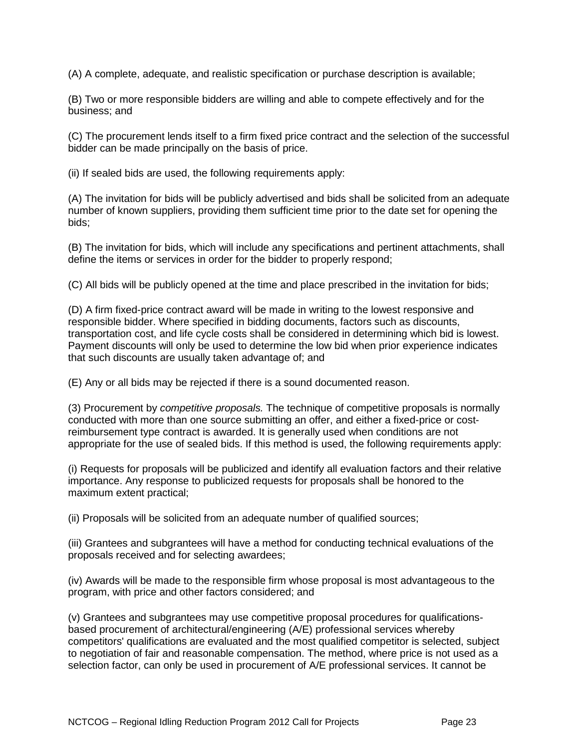(A) A complete, adequate, and realistic specification or purchase description is available;

(B) Two or more responsible bidders are willing and able to compete effectively and for the business; and

(C) The procurement lends itself to a firm fixed price contract and the selection of the successful bidder can be made principally on the basis of price.

(ii) If sealed bids are used, the following requirements apply:

(A) The invitation for bids will be publicly advertised and bids shall be solicited from an adequate number of known suppliers, providing them sufficient time prior to the date set for opening the bids;

(B) The invitation for bids, which will include any specifications and pertinent attachments, shall define the items or services in order for the bidder to properly respond;

(C) All bids will be publicly opened at the time and place prescribed in the invitation for bids;

(D) A firm fixed-price contract award will be made in writing to the lowest responsive and responsible bidder. Where specified in bidding documents, factors such as discounts, transportation cost, and life cycle costs shall be considered in determining which bid is lowest. Payment discounts will only be used to determine the low bid when prior experience indicates that such discounts are usually taken advantage of; and

(E) Any or all bids may be rejected if there is a sound documented reason.

(3) Procurement by *competitive proposals.* The technique of competitive proposals is normally conducted with more than one source submitting an offer, and either a fixed-price or costreimbursement type contract is awarded. It is generally used when conditions are not appropriate for the use of sealed bids. If this method is used, the following requirements apply:

(i) Requests for proposals will be publicized and identify all evaluation factors and their relative importance. Any response to publicized requests for proposals shall be honored to the maximum extent practical;

(ii) Proposals will be solicited from an adequate number of qualified sources;

(iii) Grantees and subgrantees will have a method for conducting technical evaluations of the proposals received and for selecting awardees;

(iv) Awards will be made to the responsible firm whose proposal is most advantageous to the program, with price and other factors considered; and

(v) Grantees and subgrantees may use competitive proposal procedures for qualificationsbased procurement of architectural/engineering (A/E) professional services whereby competitors' qualifications are evaluated and the most qualified competitor is selected, subject to negotiation of fair and reasonable compensation. The method, where price is not used as a selection factor, can only be used in procurement of A/E professional services. It cannot be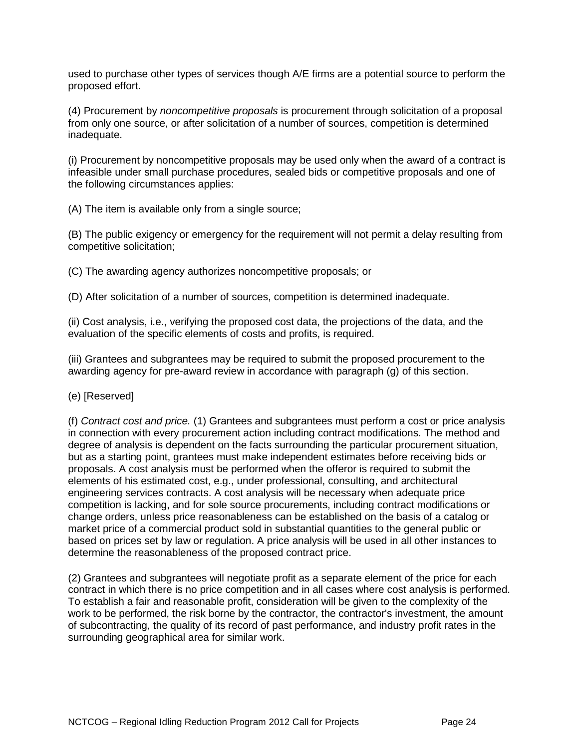used to purchase other types of services though A/E firms are a potential source to perform the proposed effort.

(4) Procurement by *noncompetitive proposals* is procurement through solicitation of a proposal from only one source, or after solicitation of a number of sources, competition is determined inadequate.

(i) Procurement by noncompetitive proposals may be used only when the award of a contract is infeasible under small purchase procedures, sealed bids or competitive proposals and one of the following circumstances applies:

(A) The item is available only from a single source;

(B) The public exigency or emergency for the requirement will not permit a delay resulting from competitive solicitation;

(C) The awarding agency authorizes noncompetitive proposals; or

(D) After solicitation of a number of sources, competition is determined inadequate.

(ii) Cost analysis, i.e., verifying the proposed cost data, the projections of the data, and the evaluation of the specific elements of costs and profits, is required.

(iii) Grantees and subgrantees may be required to submit the proposed procurement to the awarding agency for pre-award review in accordance with paragraph (g) of this section.

## (e) [Reserved]

(f) *Contract cost and price.* (1) Grantees and subgrantees must perform a cost or price analysis in connection with every procurement action including contract modifications. The method and degree of analysis is dependent on the facts surrounding the particular procurement situation, but as a starting point, grantees must make independent estimates before receiving bids or proposals. A cost analysis must be performed when the offeror is required to submit the elements of his estimated cost, e.g., under professional, consulting, and architectural engineering services contracts. A cost analysis will be necessary when adequate price competition is lacking, and for sole source procurements, including contract modifications or change orders, unless price reasonableness can be established on the basis of a catalog or market price of a commercial product sold in substantial quantities to the general public or based on prices set by law or regulation. A price analysis will be used in all other instances to determine the reasonableness of the proposed contract price.

(2) Grantees and subgrantees will negotiate profit as a separate element of the price for each contract in which there is no price competition and in all cases where cost analysis is performed. To establish a fair and reasonable profit, consideration will be given to the complexity of the work to be performed, the risk borne by the contractor, the contractor's investment, the amount of subcontracting, the quality of its record of past performance, and industry profit rates in the surrounding geographical area for similar work.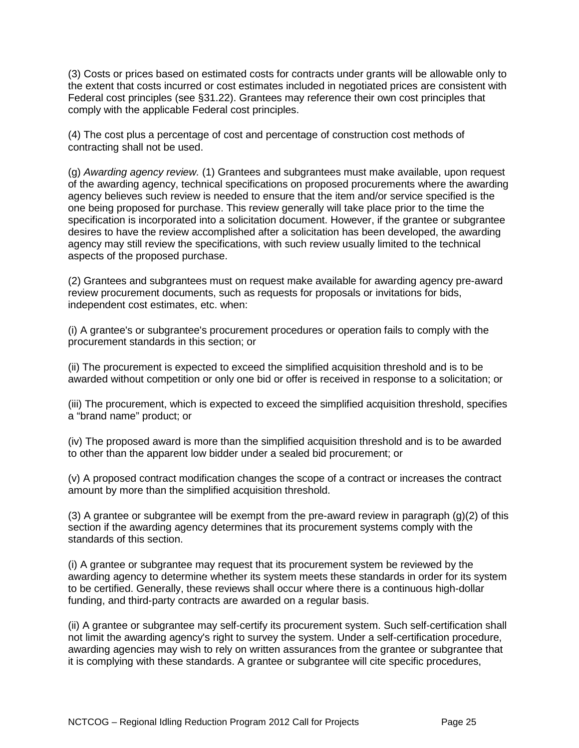(3) Costs or prices based on estimated costs for contracts under grants will be allowable only to the extent that costs incurred or cost estimates included in negotiated prices are consistent with Federal cost principles (see §31.22). Grantees may reference their own cost principles that comply with the applicable Federal cost principles.

(4) The cost plus a percentage of cost and percentage of construction cost methods of contracting shall not be used.

(g) *Awarding agency review.* (1) Grantees and subgrantees must make available, upon request of the awarding agency, technical specifications on proposed procurements where the awarding agency believes such review is needed to ensure that the item and/or service specified is the one being proposed for purchase. This review generally will take place prior to the time the specification is incorporated into a solicitation document. However, if the grantee or subgrantee desires to have the review accomplished after a solicitation has been developed, the awarding agency may still review the specifications, with such review usually limited to the technical aspects of the proposed purchase.

(2) Grantees and subgrantees must on request make available for awarding agency pre-award review procurement documents, such as requests for proposals or invitations for bids, independent cost estimates, etc. when:

(i) A grantee's or subgrantee's procurement procedures or operation fails to comply with the procurement standards in this section; or

(ii) The procurement is expected to exceed the simplified acquisition threshold and is to be awarded without competition or only one bid or offer is received in response to a solicitation; or

(iii) The procurement, which is expected to exceed the simplified acquisition threshold, specifies a "brand name" product; or

(iv) The proposed award is more than the simplified acquisition threshold and is to be awarded to other than the apparent low bidder under a sealed bid procurement; or

(v) A proposed contract modification changes the scope of a contract or increases the contract amount by more than the simplified acquisition threshold.

(3) A grantee or subgrantee will be exempt from the pre-award review in paragraph (g)(2) of this section if the awarding agency determines that its procurement systems comply with the standards of this section.

(i) A grantee or subgrantee may request that its procurement system be reviewed by the awarding agency to determine whether its system meets these standards in order for its system to be certified. Generally, these reviews shall occur where there is a continuous high-dollar funding, and third-party contracts are awarded on a regular basis.

(ii) A grantee or subgrantee may self-certify its procurement system. Such self-certification shall not limit the awarding agency's right to survey the system. Under a self-certification procedure, awarding agencies may wish to rely on written assurances from the grantee or subgrantee that it is complying with these standards. A grantee or subgrantee will cite specific procedures,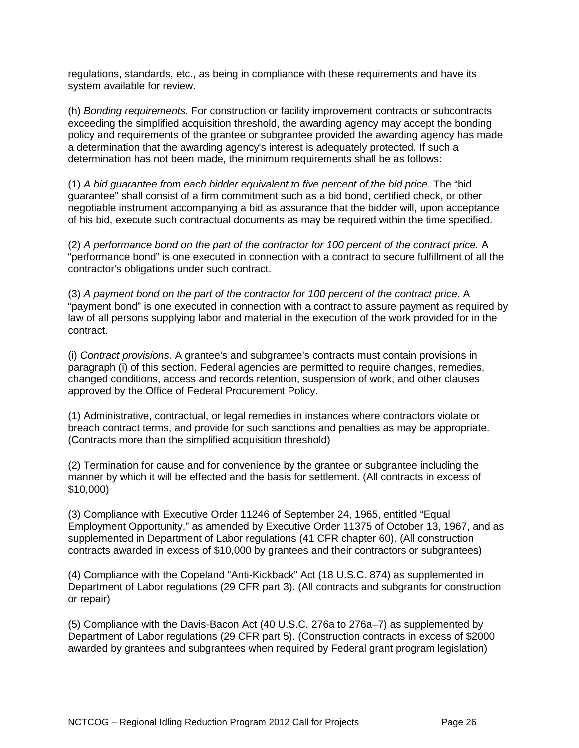regulations, standards, etc., as being in compliance with these requirements and have its system available for review.

(h) *Bonding requirements.* For construction or facility improvement contracts or subcontracts exceeding the simplified acquisition threshold, the awarding agency may accept the bonding policy and requirements of the grantee or subgrantee provided the awarding agency has made a determination that the awarding agency's interest is adequately protected. If such a determination has not been made, the minimum requirements shall be as follows:

(1) *A bid guarantee from each bidder equivalent to five percent of the bid price.* The "bid guarantee" shall consist of a firm commitment such as a bid bond, certified check, or other negotiable instrument accompanying a bid as assurance that the bidder will, upon acceptance of his bid, execute such contractual documents as may be required within the time specified.

(2) *A performance bond on the part of the contractor for 100 percent of the contract price.* A "performance bond" is one executed in connection with a contract to secure fulfillment of all the contractor's obligations under such contract.

(3) *A payment bond on the part of the contractor for 100 percent of the contract price.* A "payment bond" is one executed in connection with a contract to assure payment as required by law of all persons supplying labor and material in the execution of the work provided for in the contract.

(i) *Contract provisions.* A grantee's and subgrantee's contracts must contain provisions in paragraph (i) of this section. Federal agencies are permitted to require changes, remedies, changed conditions, access and records retention, suspension of work, and other clauses approved by the Office of Federal Procurement Policy.

(1) Administrative, contractual, or legal remedies in instances where contractors violate or breach contract terms, and provide for such sanctions and penalties as may be appropriate. (Contracts more than the simplified acquisition threshold)

(2) Termination for cause and for convenience by the grantee or subgrantee including the manner by which it will be effected and the basis for settlement. (All contracts in excess of \$10,000)

(3) Compliance with Executive Order 11246 of September 24, 1965, entitled "Equal Employment Opportunity," as amended by Executive Order 11375 of October 13, 1967, and as supplemented in Department of Labor regulations (41 CFR chapter 60). (All construction contracts awarded in excess of \$10,000 by grantees and their contractors or subgrantees)

(4) Compliance with the Copeland "Anti-Kickback" Act (18 U.S.C. 874) as supplemented in Department of Labor regulations (29 CFR part 3). (All contracts and subgrants for construction or repair)

(5) Compliance with the Davis-Bacon Act (40 U.S.C. 276a to 276a–7) as supplemented by Department of Labor regulations (29 CFR part 5). (Construction contracts in excess of \$2000 awarded by grantees and subgrantees when required by Federal grant program legislation)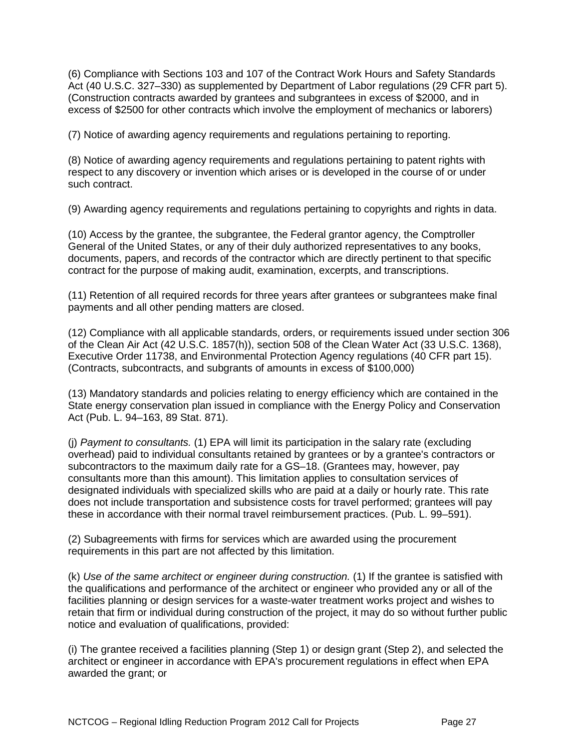(6) Compliance with Sections 103 and 107 of the Contract Work Hours and Safety Standards Act (40 U.S.C. 327–330) as supplemented by Department of Labor regulations (29 CFR part 5). (Construction contracts awarded by grantees and subgrantees in excess of \$2000, and in excess of \$2500 for other contracts which involve the employment of mechanics or laborers)

(7) Notice of awarding agency requirements and regulations pertaining to reporting.

(8) Notice of awarding agency requirements and regulations pertaining to patent rights with respect to any discovery or invention which arises or is developed in the course of or under such contract.

(9) Awarding agency requirements and regulations pertaining to copyrights and rights in data.

(10) Access by the grantee, the subgrantee, the Federal grantor agency, the Comptroller General of the United States, or any of their duly authorized representatives to any books, documents, papers, and records of the contractor which are directly pertinent to that specific contract for the purpose of making audit, examination, excerpts, and transcriptions.

(11) Retention of all required records for three years after grantees or subgrantees make final payments and all other pending matters are closed.

(12) Compliance with all applicable standards, orders, or requirements issued under section 306 of the Clean Air Act (42 U.S.C. 1857(h)), section 508 of the Clean Water Act (33 U.S.C. 1368), Executive Order 11738, and Environmental Protection Agency regulations (40 CFR part 15). (Contracts, subcontracts, and subgrants of amounts in excess of \$100,000)

(13) Mandatory standards and policies relating to energy efficiency which are contained in the State energy conservation plan issued in compliance with the Energy Policy and Conservation Act (Pub. L. 94–163, 89 Stat. 871).

(j) *Payment to consultants.* (1) EPA will limit its participation in the salary rate (excluding overhead) paid to individual consultants retained by grantees or by a grantee's contractors or subcontractors to the maximum daily rate for a GS–18. (Grantees may, however, pay consultants more than this amount). This limitation applies to consultation services of designated individuals with specialized skills who are paid at a daily or hourly rate. This rate does not include transportation and subsistence costs for travel performed; grantees will pay these in accordance with their normal travel reimbursement practices. (Pub. L. 99–591).

(2) Subagreements with firms for services which are awarded using the procurement requirements in this part are not affected by this limitation.

(k) *Use of the same architect or engineer during construction.* (1) If the grantee is satisfied with the qualifications and performance of the architect or engineer who provided any or all of the facilities planning or design services for a waste-water treatment works project and wishes to retain that firm or individual during construction of the project, it may do so without further public notice and evaluation of qualifications, provided:

(i) The grantee received a facilities planning (Step 1) or design grant (Step 2), and selected the architect or engineer in accordance with EPA's procurement regulations in effect when EPA awarded the grant; or